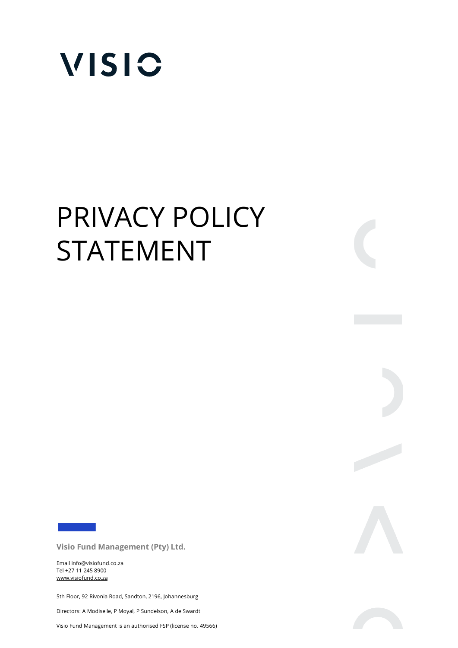

## PRIVACY POLICY STATEMENT

**Visio Fund Management (Pty) Ltd.** 

Email info@visiofund.co.za Tel +27 11 245 8900 www.visiofund.co.za

5th Floor, 92 Rivonia Road, Sandton, 2196, Johannesburg

Directors: A Modiselle, P Moyal, P Sundelson, A de Swardt

Visio Fund Management is an authorised FSP (license no. 49566)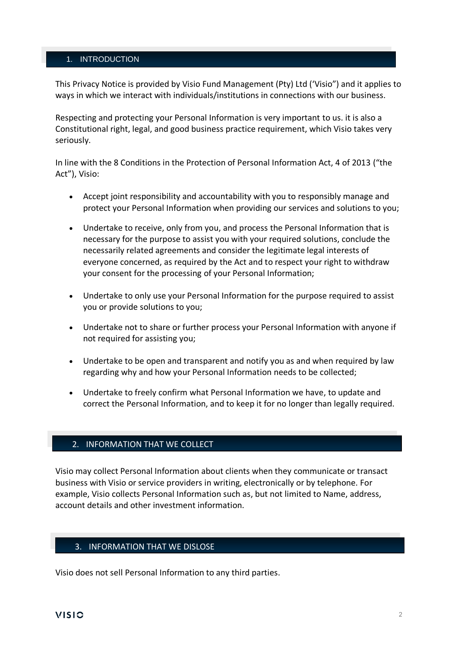## 1. INTRODUCTION

This Privacy Notice is provided by Visio Fund Management (Pty) Ltd ('Visio") and it applies to ways in which we interact with individuals/institutions in connections with our business.

Respecting and protecting your Personal Information is very important to us. it is also a Constitutional right, legal, and good business practice requirement, which Visio takes very seriously.

In line with the 8 Conditions in the Protection of Personal Information Act, 4 of 2013 ("the Act"), Visio:

- Accept joint responsibility and accountability with you to responsibly manage and protect your Personal Information when providing our services and solutions to you;
- Undertake to receive, only from you, and process the Personal Information that is necessary for the purpose to assist you with your required solutions, conclude the necessarily related agreements and consider the legitimate legal interests of everyone concerned, as required by the Act and to respect your right to withdraw your consent for the processing of your Personal Information;
- Undertake to only use your Personal Information for the purpose required to assist you or provide solutions to you;
- Undertake not to share or further process your Personal Information with anyone if not required for assisting you;
- Undertake to be open and transparent and notify you as and when required by law regarding why and how your Personal Information needs to be collected;
- Undertake to freely confirm what Personal Information we have, to update and correct the Personal Information, and to keep it for no longer than legally required.

## 2. INFORMATION THAT WE COLLECT

Visio may collect Personal Information about clients when they communicate or transact business with Visio or service providers in writing, electronically or by telephone. For example, Visio collects Personal Information such as, but not limited to Name, address, account details and other investment information.

## 3. INFORMATION THAT WE DISLOSE

Visio does not sell Personal Information to any third parties.